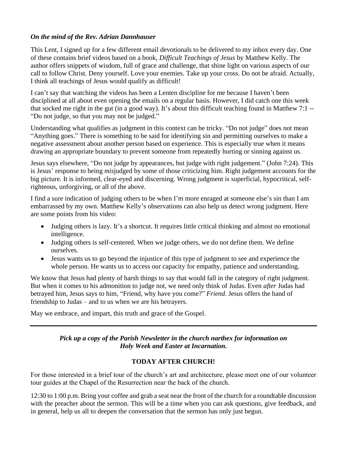## *On the mind of the Rev. Adrian Dannhauser*

This Lent, I signed up for a few different email devotionals to be delivered to my inbox every day. One of these contains brief videos based on a book, *Difficult Teachings of Jesus* by Matthew Kelly. The author offers snippets of wisdom, full of grace and challenge, that shine light on various aspects of our call to follow Christ. Deny yourself. Love your enemies. Take up your cross. Do not be afraid. Actually, I think all teachings of Jesus would qualify as difficult!

I can't say that watching the videos has been a Lenten discipline for me because I haven't been disciplined at all about even opening the emails on a regular basis. However, I did catch one this week that socked me right in the gut (in a good way). It's about this difficult teaching found in Matthew 7:1 -- "Do not judge, so that you may not be judged."

Understanding what qualifies as judgment in this context can be tricky. "Do not judge" does not mean "Anything goes." There is something to be said for identifying sin and permitting ourselves to make a negative assessment about another person based on experience. This is especially true when it means drawing an appropriate boundary to prevent someone from repeatedly hurting or sinning against us.

Jesus says elsewhere, "Do not judge by appearances, but judge with right judgement." (John 7:24). This is Jesus' response to being *mis*judged by some of those criticizing him. Right judgement accounts for the big picture. It is informed, clear-eyed and discerning. Wrong judgment is superficial, hypocritical, selfrighteous, unforgiving, or all of the above.

I find a sure indication of judging others to be when I'm more enraged at someone else's sin than I am embarrassed by my own. Matthew Kelly's observations can also help us detect wrong judgment. Here are some points from his video:

- Judging others is lazy. It's a shortcut. It requires little critical thinking and almost no emotional intelligence.
- Judging others is self-centered. When we judge others, we do not define them. We define ourselves.
- Jesus wants us to go beyond the injustice of this type of judgment to see and experience the whole person. He wants us to access our capacity for empathy, patience and understanding.

We know that Jesus had plenty of harsh things to say that would fall in the category of right judgment. But when it comes to his admonition to judge not, we need only think of Judas. Even *after* Judas had betrayed him, Jesus says to him, "Friend, why have you come?" *Friend*. Jesus offers the hand of friendship to Judas – and to us when we are his betrayers.

May we embrace, and impart, this truth and grace of the Gospel.

## *Pick up a copy of the Parish Newsletter in the church narthex for information on Holy Week and Easter at Incarnation.*

# **TODAY AFTER CHURCH!**

For those interested in a brief tour of the church's art and architecture, please meet one of our volunteer tour guides at the Chapel of the Resurrection near the back of the church.

12:30 to 1:00 p.m. Bring your coffee and grab a seat near the front of the church for a roundtable discussion with the preacher about the sermon. This will be a time when you can ask questions, give feedback, and in general, help us all to deepen the conversation that the sermon has only just begun.